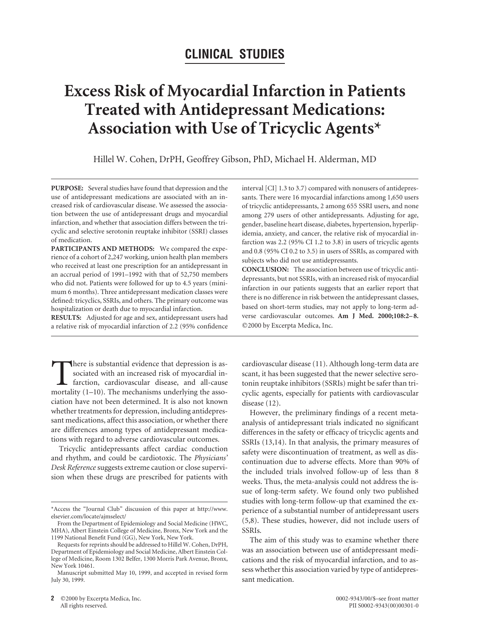## **CLINICAL STUDIES**

# **Excess Risk of Myocardial Infarction in Patients Treated with Antidepressant Medications: Association with Use of Tricyclic Agents\***

Hillel W. Cohen, DrPH, Geoffrey Gibson, PhD, Michael H. Alderman, MD

**PURPOSE:** Several studies have found that depression and the use of antidepressant medications are associated with an increased risk of cardiovascular disease. We assessed the association between the use of antidepressant drugs and myocardial infarction, and whether that association differs between the tricyclic and selective serotonin reuptake inhibitor (SSRI) classes of medication.

**PARTICIPANTS AND METHODS:** We compared the experience of a cohort of 2,247 working, union health plan members who received at least one prescription for an antidepressant in an accrual period of 1991–1992 with that of 52,750 members who did not. Patients were followed for up to 4.5 years (minimum 6 months). Three antidepressant medication classes were defined: tricyclics, SSRIs, and others. The primary outcome was hospitalization or death due to myocardial infarction.

**RESULTS:** Adjusted for age and sex, antidepressant users had a relative risk of myocardial infarction of 2.2 (95% confidence

There is substantial evidence that depression is associated with an increased risk of myocardial infarction, cardiovascular disease, and all-cause mortality (1–10). The mechanisms underlying the assosociated with an increased risk of myocardial infarction, cardiovascular disease, and all-cause mortality (1–10). The mechanisms underlying the association have not been determined. It is also not known whether treatments for depression, including antidepressant medications, affect this association, or whether there are differences among types of antidepressant medications with regard to adverse cardiovascular outcomes.

Tricyclic antidepressants affect cardiac conduction and rhythm, and could be cardiotoxic. The *Physicians' Desk Reference*suggests extreme caution or close supervision when these drugs are prescribed for patients with interval [CI] 1.3 to 3.7) compared with nonusers of antidepressants. There were 16 myocardial infarctions among 1,650 users of tricyclic antidepressants, 2 among 655 SSRI users, and none among 279 users of other antidepressants. Adjusting for age, gender, baseline heart disease, diabetes, hypertension, hyperlipidemia, anxiety, and cancer, the relative risk of myocardial infarction was 2.2 (95% CI 1.2 to 3.8) in users of tricyclic agents and 0.8 (95% CI 0.2 to 3.5) in users of SSRIs, as compared with subjects who did not use antidepressants.

**CONCLUSION:** The association between use of tricyclic antidepressants, but not SSRIs, with an increased risk of myocardial infarction in our patients suggests that an earlier report that there is no difference in risk between the antidepressant classes, based on short-term studies, may not apply to long-term adverse cardiovascular outcomes. Am J Med. 2000;108:2-8. ©2000 by Excerpta Medica, Inc.

cardiovascular disease (11). Although long-term data are scant, it has been suggested that the newer selective serotonin reuptake inhibitors (SSRIs) might be safer than tricyclic agents, especially for patients with cardiovascular disease (12).

However, the preliminary findings of a recent metaanalysis of antidepressant trials indicated no significant differences in the safety or efficacy of tricyclic agents and SSRIs (13,14). In that analysis, the primary measures of safety were discontinuation of treatment, as well as discontinuation due to adverse effects. More than 90% of the included trials involved follow-up of less than 8 weeks. Thus, the meta-analysis could not address the issue of long-term safety. We found only two published studies with long-term follow-up that examined the experience of a substantial number of antidepressant users (5,8). These studies, however, did not include users of SSRIs.

The aim of this study was to examine whether there was an association between use of antidepressant medications and the risk of myocardial infarction, and to assess whether this association varied by type of antidepressant medication.

<sup>\*</sup>Access the "Journal Club" discussion of this paper at http://www. elsevier.com/locate/ajmselect/

From the Department of Epidemiology and Social Medicine (HWC, MHA), Albert Einstein College of Medicine, Bronx, New York and the 1199 National Benefit Fund (GG), New York, New York.

Requests for reprints should be addressed to Hillel W. Cohen, DrPH, Department of Epidemiology and Social Medicine, Albert Einstein College of Medicine, Room 1302 Belfer, 1300 Morris Park Avenue, Bronx, New York 10461.

Manuscript submitted May 10, 1999, and accepted in revised form July 30, 1999.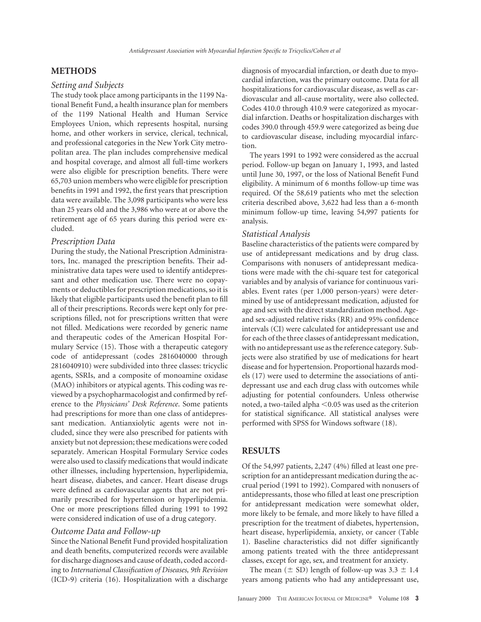#### **METHODS**

#### *Setting and Subjects*

The study took place among participants in the 1199 National Benefit Fund, a health insurance plan for members of the 1199 National Health and Human Service Employees Union, which represents hospital, nursing home, and other workers in service, clerical, technical, and professional categories in the New York City metropolitan area. The plan includes comprehensive medical and hospital coverage, and almost all full-time workers were also eligible for prescription benefits. There were 65,703 union members who were eligible for prescription benefits in 1991 and 1992, the first years that prescription data were available. The 3,098 participants who were less than 25 years old and the 3,986 who were at or above the retirement age of 65 years during this period were excluded.

#### *Prescription Data*

During the study, the National Prescription Administrators, Inc. managed the prescription benefits. Their administrative data tapes were used to identify antidepressant and other medication use. There were no copayments or deductibles for prescription medications, so it is likely that eligible participants used the benefit plan to fill all of their prescriptions. Records were kept only for prescriptions filled, not for prescriptions written that were not filled. Medications were recorded by generic name and therapeutic codes of the American Hospital Formulary Service (15). Those with a therapeutic category code of antidepressant (codes 2816040000 through 2816040910) were subdivided into three classes: tricyclic agents, SSRIs, and a composite of monoamine oxidase (MAO) inhibitors or atypical agents. This coding was reviewed by a psychopharmacologist and confirmed by reference to the *Physicians' Desk Reference*. Some patients had prescriptions for more than one class of antidepressant medication. Antianxiolytic agents were not included, since they were also prescribed for patients with anxiety but not depression; these medications were coded separately. American Hospital Formulary Service codes were also used to classify medications that would indicate other illnesses, including hypertension, hyperlipidemia, heart disease, diabetes, and cancer. Heart disease drugs were defined as cardiovascular agents that are not primarily prescribed for hypertension or hyperlipidemia. One or more prescriptions filled during 1991 to 1992 were considered indication of use of a drug category.

#### *Outcome Data and Follow-up*

Since the National Benefit Fund provided hospitalization and death benefits, computerized records were available for discharge diagnoses and cause of death, coded according to *International Classification of Diseases, 9th Revision* (ICD-9) criteria (16). Hospitalization with a discharge diagnosis of myocardial infarction, or death due to myocardial infarction, was the primary outcome. Data for all hospitalizations for cardiovascular disease, as well as cardiovascular and all-cause mortality, were also collected. Codes 410.0 through 410.9 were categorized as myocardial infarction. Deaths or hospitalization discharges with codes 390.0 through 459.9 were categorized as being due to cardiovascular disease, including myocardial infarction.

The years 1991 to 1992 were considered as the accrual period. Follow-up began on January 1, 1993, and lasted until June 30, 1997, or the loss of National Benefit Fund eligibility. A minimum of 6 months follow-up time was required. Of the 58,619 patients who met the selection criteria described above, 3,622 had less than a 6-month minimum follow-up time, leaving 54,997 patients for analysis.

#### *Statistical Analysis*

Baseline characteristics of the patients were compared by use of antidepressant medications and by drug class. Comparisons with nonusers of antidepressant medications were made with the chi-square test for categorical variables and by analysis of variance for continuous variables. Event rates (per 1,000 person-years) were determined by use of antidepressant medication, adjusted for age and sex with the direct standardization method. Ageand sex-adjusted relative risks (RR) and 95% confidence intervals (CI) were calculated for antidepressant use and for each of the three classes of antidepressant medication, with no antidepressant use as the reference category. Subjects were also stratified by use of medications for heart disease and for hypertension. Proportional hazards models (17) were used to determine the associations of antidepressant use and each drug class with outcomes while adjusting for potential confounders. Unless otherwise noted, a two-tailed alpha  $<$  0.05 was used as the criterion for statistical significance. All statistical analyses were performed with SPSS for Windows software (18).

#### **RESULTS**

Of the 54,997 patients, 2,247 (4%) filled at least one prescription for an antidepressant medication during the accrual period (1991 to 1992). Compared with nonusers of antidepressants, those who filled at least one prescription for antidepressant medication were somewhat older, more likely to be female, and more likely to have filled a prescription for the treatment of diabetes, hypertension, heart disease, hyperlipidemia, anxiety, or cancer (Table 1). Baseline characteristics did not differ significantly among patients treated with the three antidepressant classes, except for age, sex, and treatment for anxiety.

The mean ( $\pm$  SD) length of follow-up was 3.3  $\pm$  1.4 years among patients who had any antidepressant use,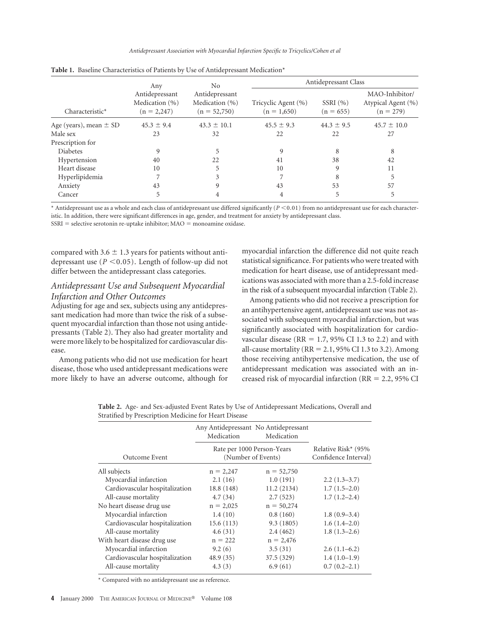*Antidepressant Association with Myocardial Infarction Specific to Tricyclics/Cohen et al*

|                            | No.<br>Any<br>Antidepressant<br>Antidepressant<br>Medication (%)<br>Medication (%)<br>$(n = 52,750)$<br>$(n = 2,247)$ |                                      | Antidepressant Class   |                                                     |                 |
|----------------------------|-----------------------------------------------------------------------------------------------------------------------|--------------------------------------|------------------------|-----------------------------------------------------|-----------------|
| Characteristic*            |                                                                                                                       | Tricyclic Agent (%)<br>$(n = 1,650)$ | SSRI(%)<br>$(n = 655)$ | MAO-Inhibitor/<br>Atypical Agent (%)<br>$(n = 279)$ |                 |
| Age (years), mean $\pm$ SD | $45.3 \pm 9.4$                                                                                                        | $43.3 \pm 10.1$                      | $45.5 \pm 9.3$         | $44.3 \pm 9.5$                                      | $45.7 \pm 10.0$ |
| Male sex                   | 23                                                                                                                    | 32                                   | 22                     | 22                                                  | 27              |
| Prescription for           |                                                                                                                       |                                      |                        |                                                     |                 |
| <b>Diabetes</b>            | 9                                                                                                                     | 5                                    | 9                      | 8                                                   | 8               |
| Hypertension               | 40                                                                                                                    | 22                                   | 41                     | 38                                                  | 42              |
| Heart disease              | 10                                                                                                                    | 5                                    | 10                     | 9                                                   | 11              |
| Hyperlipidemia             |                                                                                                                       | 3                                    |                        | 8                                                   |                 |
| Anxiety                    | 43                                                                                                                    | 9                                    | 43                     | 53                                                  | 57              |
| Cancer                     | 5                                                                                                                     |                                      | 4                      | 5                                                   | 5               |

**Table 1.** Baseline Characteristics of Patients by Use of Antidepressant Medication\*

\* Antidepressant use as a whole and each class of antidepressant use differed significantly (*P* < 0.01) from no antidepressant use for each characteristic. In addition, there were significant differences in age, gender, and treatment for anxiety by antidepressant class.

 $SSRI =$  selective serotonin re-uptake inhibitor;  $MAO =$  monoamine oxidase.

compared with 3.6  $\pm$  1.3 years for patients without antidepressant use ( $P \le 0.05$ ). Length of follow-up did not differ between the antidepressant class categories.

### *Antidepressant Use and Subsequent Myocardial Infarction and Other Outcomes*

Adjusting for age and sex, subjects using any antidepressant medication had more than twice the risk of a subsequent myocardial infarction than those not using antidepressants (Table 2). They also had greater mortality and were more likely to be hospitalized for cardiovascular disease.

Among patients who did not use medication for heart disease, those who used antidepressant medications were more likely to have an adverse outcome, although for

myocardial infarction the difference did not quite reach statistical significance. For patients who were treated with medication for heart disease, use of antidepressant medications was associated with more than a 2.5-fold increase in the risk of a subsequent myocardial infarction (Table 2).

Among patients who did not receive a prescription for an antihypertensive agent, antidepressant use was not associated with subsequent myocardial infarction, but was significantly associated with hospitalization for cardiovascular disease (RR =  $1.7$ , 95% CI 1.3 to 2.2) and with all-cause mortality ( $RR = 2.1$ , 95% CI 1.3 to 3.2). Among those receiving antihypertensive medication, the use of antidepressant medication was associated with an increased risk of myocardial infarction (RR =  $2.2$ , 95% CI

|                                | Medication                                       | Any Antidepressant No Antidepressant<br>Medication |                                             |
|--------------------------------|--------------------------------------------------|----------------------------------------------------|---------------------------------------------|
| Outcome Event                  | Rate per 1000 Person-Years<br>(Number of Events) |                                                    | Relative Risk* (95%<br>Confidence Interval) |
| All subjects                   | $n = 2,247$                                      | $n = 52,750$                                       |                                             |
| Myocardial infarction          | 2.1(16)                                          | 1.0(191)                                           | $2.2(1.3-3.7)$                              |
| Cardiovascular hospitalization | 18.8(148)                                        | 11.2 (2134)                                        | $1.7(1.5-2.0)$                              |
| All-cause mortality            | 4.7(34)                                          | 2.7(523)                                           | $1.7(1.2-2.4)$                              |
| No heart disease drug use      | $n = 2,025$                                      | $n = 50,274$                                       |                                             |
| Myocardial infarction          | 1.4(10)                                          | 0.8(160)                                           | $1.8(0.9-3.4)$                              |
| Cardiovascular hospitalization | 15.6(113)                                        | 9.3(1805)                                          | $1.6(1.4-2.0)$                              |
| All-cause mortality            | 4.6(31)                                          | 2.4(462)                                           | $1.8(1.3-2.6)$                              |
| With heart disease drug use    | $n = 222$                                        | $n = 2,476$                                        |                                             |
| Myocardial infarction          | 9.2(6)                                           | 3.5(31)                                            | $2.6(1.1-6.2)$                              |
| Cardiovascular hospitalization | 48.9(35)                                         | 37.5(329)                                          | $1.4(1.0-1.9)$                              |
| All-cause mortality            | 4.3(3)                                           | 6.9(61)                                            | $0.7(0.2-2.1)$                              |

**Table 2.** Age- and Sex-adjusted Event Rates by Use of Antidepressant Medications, Overall and Stratified by Prescription Medicine for Heart Disease

\* Compared with no antidepressant use as reference.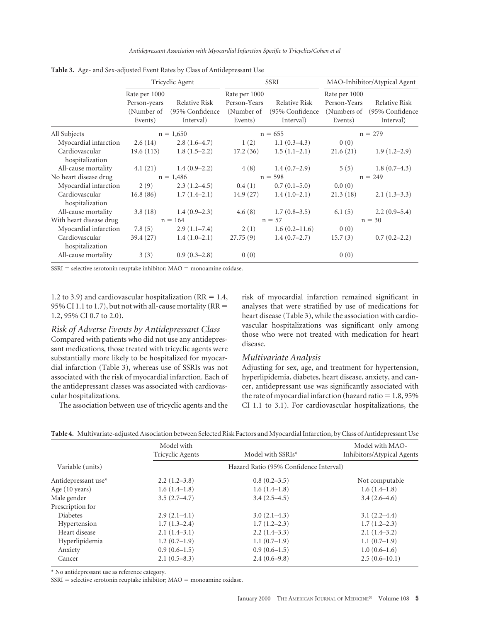*Antidepressant Association with Myocardial Infarction Specific to Tricyclics/Cohen et al*

|                                   | Tricyclic Agent                                        |                                                | SSRI                                                   |                                                | MAO-Inhibitor/Atypical Agent                            |                                               |
|-----------------------------------|--------------------------------------------------------|------------------------------------------------|--------------------------------------------------------|------------------------------------------------|---------------------------------------------------------|-----------------------------------------------|
|                                   | Rate per 1000<br>Person-years<br>(Number of<br>Events) | Relative Risk<br>(95% Confidence)<br>Interval) | Rate per 1000<br>Person-Years<br>(Number of<br>Events) | Relative Risk<br>(95% Confidence)<br>Interval) | Rate per 1000<br>Person-Years<br>(Numbers of<br>Events) | Relative Risk<br>(95% Confidence<br>Interval) |
| All Subjects                      |                                                        | $n = 1,650$                                    | $n = 655$                                              |                                                | $n = 279$                                               |                                               |
| Myocardial infarction             | 2.6(14)                                                | $2.8(1.6-4.7)$                                 | 1(2)                                                   | $1.1(0.3-4.3)$                                 | 0(0)                                                    |                                               |
| Cardiovascular<br>hospitalization | 19.6(113)                                              | $1.8(1.5-2.2)$                                 | 17.2(36)                                               | $1.5(1.1-2.1)$                                 | 21.6(21)                                                | $1.9(1.2-2.9)$                                |
| All-cause mortality               | 4.1(21)                                                | $1.4(0.9-2.2)$                                 |                                                        | $4(8)$ 1.4 $(0.7-2.9)$                         | 5(5)                                                    | $1.8(0.7-4.3)$                                |
| No heart disease drug             |                                                        | $n = 1,486$                                    |                                                        | $n = 598$                                      |                                                         | $n = 249$                                     |
| Myocardial infarction             | 2(9)                                                   | $2.3(1.2-4.5)$                                 | 0.4(1)                                                 | $0.7(0.1-5.0)$                                 | 0.0(0)                                                  |                                               |
| Cardiovascular<br>hospitalization | 16.8(86)                                               | $1.7(1.4-2.1)$                                 | 14.9(27)                                               | $1.4(1.0-2.1)$                                 | 21.3(18)                                                | $2.1(1.3-3.3)$                                |
| All-cause mortality               | 3.8(18)                                                | $1.4(0.9-2.3)$                                 |                                                        | $4.6(8)$ 1.7 $(0.8-3.5)$                       | 6.1(5)                                                  | $2.2(0.9-5.4)$                                |
| With heart disease drug           | $n = 164$                                              |                                                | $n = 57$                                               |                                                | $n = 30$                                                |                                               |
| Myocardial infarction             | 7.8(5)                                                 | $2.9(1.1-7.4)$                                 | 2(1)                                                   | $1.6(0.2 - 11.6)$                              | 0(0)                                                    |                                               |
| Cardiovascular<br>hospitalization | 39.4(27)                                               | $1.4(1.0-2.1)$                                 | 27.75(9)                                               | $1.4(0.7-2.7)$                                 | 15.7(3)                                                 | $0.7(0.2-2.2)$                                |
| All-cause mortality               | 3(3)                                                   | $0.9(0.3-2.8)$                                 | 0(0)                                                   |                                                | 0(0)                                                    |                                               |

**Table 3.** Age- and Sex-adjusted Event Rates by Class of Antidepressant Use

 $SSRI =$  selective serotonin reuptake inhibitor;  $MAO =$  monoamine oxidase.

1.2 to 3.9) and cardiovascular hospitalization ( $RR = 1.4$ , 95% CI 1.1 to 1.7), but not with all-cause mortality ( $RR =$ 1.2, 95% CI 0.7 to 2.0).

#### *Risk of Adverse Events by Antidepressant Class*

Compared with patients who did not use any antidepressant medications, those treated with tricyclic agents were substantially more likely to be hospitalized for myocardial infarction (Table 3), whereas use of SSRIs was not associated with the risk of myocardial infarction. Each of the antidepressant classes was associated with cardiovascular hospitalizations.

The association between use of tricyclic agents and the

risk of myocardial infarction remained significant in analyses that were stratified by use of medications for heart disease (Table 3), while the association with cardiovascular hospitalizations was significant only among those who were not treated with medication for heart disease.

#### *Multivariate Analysis*

Adjusting for sex, age, and treatment for hypertension, hyperlipidemia, diabetes, heart disease, anxiety, and cancer, antidepressant use was significantly associated with the rate of myocardial infarction (hazard ratio  $= 1.8, 95\%$ CI 1.1 to 3.1). For cardiovascular hospitalizations, the

|--|

|                     | Model with<br>Tricyclic Agents         | Model with SSRIs* | Model with MAO-<br>Inhibitors/Atypical Agents |  |  |  |
|---------------------|----------------------------------------|-------------------|-----------------------------------------------|--|--|--|
|                     |                                        |                   |                                               |  |  |  |
| Variable (units)    | Hazard Ratio (95% Confidence Interval) |                   |                                               |  |  |  |
| Antidepressant use* | $2.2(1.2-3.8)$                         | $0.8(0.2-3.5)$    | Not computable                                |  |  |  |
| Age (10 years)      | $1.6(1.4-1.8)$                         | $1.6(1.4-1.8)$    | $1.6(1.4-1.8)$                                |  |  |  |
| Male gender         | $3.5(2.7-4.7)$                         | $3.4(2.5-4.5)$    | $3.4(2.6-4.6)$                                |  |  |  |
| Prescription for    |                                        |                   |                                               |  |  |  |
| <b>Diabetes</b>     | $2.9(2.1-4.1)$                         | $3.0(2.1-4.3)$    | $3.1(2.2 - 4.4)$                              |  |  |  |
| Hypertension        | $1.7(1.3-2.4)$                         | $1.7(1.2-2.3)$    | $1.7(1.2-2.3)$                                |  |  |  |
| Heart disease       | $2.1(1.4-3.1)$                         | $2.2(1.4-3.3)$    | $2.1(1.4-3.2)$                                |  |  |  |
| Hyperlipidemia      | $1.2(0.7-1.9)$                         | $1.1(0.7-1.9)$    | $1.1(0.7-1.9)$                                |  |  |  |
| Anxiety             | $0.9(0.6-1.5)$                         | $0.9(0.6-1.5)$    | $1.0(0.6-1.6)$                                |  |  |  |
| Cancer              | $2.1(0.5-8.3)$                         | $2.4(0.6-9.8)$    | $2.5(0.6-10.1)$                               |  |  |  |

\* No antidepressant use as reference category.

 $SSRI =$  selective serotonin reuptake inhibitor;  $MAO =$  monoamine oxidase.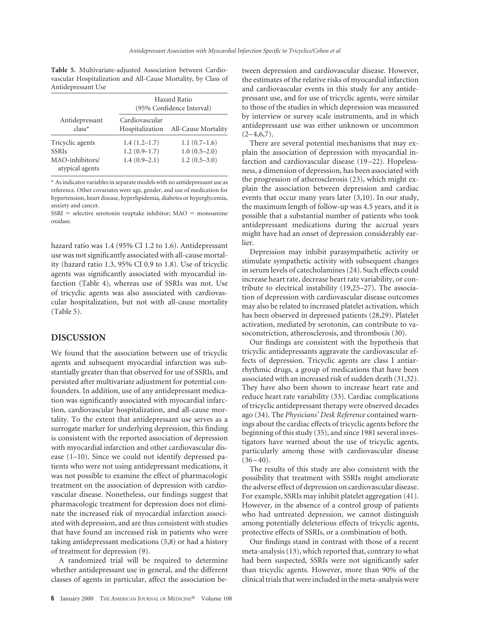**Table 5.** Multivariate-adjusted Association between Cardiovascular Hospitalization and All-Cause Mortality, by Class of Antidepressant Use

|                                    | Hazard Ratio<br>(95% Confidence Interval) |                     |  |
|------------------------------------|-------------------------------------------|---------------------|--|
| Antidepressant<br>$class*$         | Cardiovascular<br>Hospitalization         | All-Cause Mortality |  |
| Tricyclic agents                   | $1.4(1.2-1.7)$                            | $1.1(0.7-1.6)$      |  |
| <b>SSRIs</b>                       | $1.2(0.9-1.7)$                            | $1.0(0.5-2.0)$      |  |
| MAO-inhibitors/<br>atypical agents | $1.4(0.9-2.1)$                            | $1.2(0.5-3.0)$      |  |

\* As indicator variables in separate models with no antidepressant use as reference. Other covariates were age, gender, and use of medication for hypertension, heart disease, hyperlipidemia, diabetes or hyperglycemia, anxiety and cancer.

 $SSRI =$  selective serotonin reuptake inhibitor;  $MAO =$  monoamine oxidase.

hazard ratio was 1.4 (95% CI 1.2 to 1.6). Antidepressant use was not significantly associated with all-cause mortality (hazard ratio 1.3, 95% CI 0.9 to 1.8). Use of tricyclic agents was significantly associated with myocardial infarction (Table 4), whereas use of SSRIs was not. Use of tricyclic agents was also associated with cardiovascular hospitalization, but not with all-cause mortality (Table 5).

#### **DISCUSSION**

We found that the association between use of tricyclic agents and subsequent myocardial infarction was substantially greater than that observed for use of SSRIs, and persisted after multivariate adjustment for potential confounders. In addition, use of any antidepressant medication was significantly associated with myocardial infarction, cardiovascular hospitalization, and all-cause mortality. To the extent that antidepressant use serves as a surrogate marker for underlying depression, this finding is consistent with the reported association of depression with myocardial infarction and other cardiovascular disease (1–10). Since we could not identify depressed patients who were not using antidepressant medications, it was not possible to examine the effect of pharmacologic treatment on the association of depression with cardiovascular disease. Nonetheless, our findings suggest that pharmacologic treatment for depression does not eliminate the increased risk of myocardial infarction associated with depression, and are thus consistent with studies that have found an increased risk in patients who were taking antidepressant medications (5,8) or had a history of treatment for depression (9).

A randomized trial will be required to determine whether antidepressant use in general, and the different classes of agents in particular, affect the association between depression and cardiovascular disease. However, the estimates of the relative risks of myocardial infarction and cardiovascular events in this study for any antidepressant use, and for use of tricyclic agents, were similar to those of the studies in which depression was measured by interview or survey scale instruments, and in which antidepressant use was either unknown or uncommon  $(2 - 4, 6, 7)$ .

There are several potential mechanisms that may explain the association of depression with myocardial infarction and cardiovascular disease (19-22). Hopelessness, a dimension of depression, has been associated with the progression of atherosclerosis (23), which might explain the association between depression and cardiac events that occur many years later (3,10). In our study, the maximum length of follow-up was 4.5 years, and it is possible that a substantial number of patients who took antidepressant medications during the accrual years might have had an onset of depression considerably earlier.

Depression may inhibit parasympathetic activity or stimulate sympathetic activity with subsequent changes in serum levels of catecholamines (24). Such effects could increase heart rate, decrease heart rate variability, or contribute to electrical instability (19,25–27). The association of depression with cardiovascular disease outcomes may also be related to increased platelet activation, which has been observed in depressed patients (28,29). Platelet activation, mediated by serotonin, can contribute to vasoconstriction, atherosclerosis, and thrombosis (30).

Our findings are consistent with the hypothesis that tricyclic antidepressants aggravate the cardiovascular effects of depression. Tricyclic agents are class I antiarrhythmic drugs, a group of medications that have been associated with an increased risk of sudden death (31,32). They have also been shown to increase heart rate and reduce heart rate variability (33). Cardiac complications of tricyclic antidepressant therapy were observed decades ago (34). The *Physicians' Desk Reference* contained warnings about the cardiac effects of tricyclic agents before the beginning of this study (35), and since 1981 several investigators have warned about the use of tricyclic agents, particularly among those with cardiovascular disease  $(36 - 40).$ 

The results of this study are also consistent with the possibility that treatment with SSRIs might ameliorate the adverse effect of depression on cardiovascular disease. For example, SSRIs may inhibit platelet aggregation (41). However, in the absence of a control group of patients who had untreated depression, we cannot distinguish among potentially deleterious effects of tricyclic agents, protective effects of SSRIs, or a combination of both.

Our findings stand in contrast with those of a recent meta-analysis (13), which reported that, contrary to what had been suspected, SSRIs were not significantly safer than tricyclic agents. However, more than 90% of the clinical trials that were included in the meta-analysis were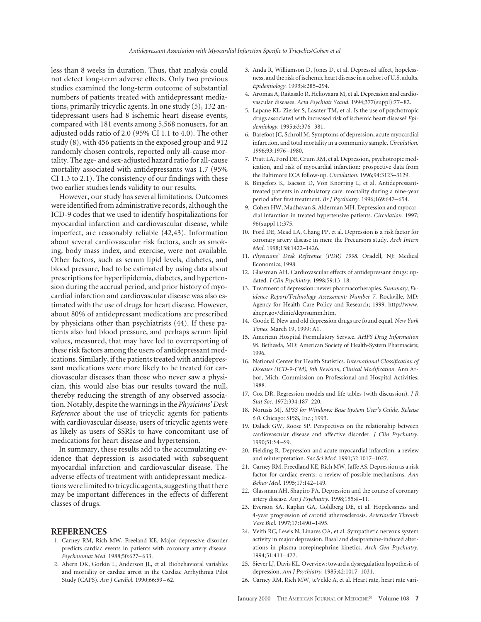less than 8 weeks in duration. Thus, that analysis could not detect long-term adverse effects. Only two previous studies examined the long-term outcome of substantial numbers of patients treated with antidepressant mediations, primarily tricyclic agents. In one study (5), 132 antidepressant users had 8 ischemic heart disease events, compared with 181 events among 5,568 nonusers, for an adjusted odds ratio of 2.0 (95% CI 1.1 to 4.0). The other study (8), with 456 patients in the exposed group and 912 randomly chosen controls, reported only all-cause mortality. The age- and sex-adjusted hazard ratio for all-cause mortality associated with antidepressants was 1.7 (95% CI 1.3 to 2.1). The consistency of our findings with these two earlier studies lends validity to our results.

However, our study has several limitations. Outcomes were identified from administrative records, although the ICD-9 codes that we used to identify hospitalizations for myocardial infarction and cardiovascular disease, while imperfect, are reasonably reliable (42,43). Information about several cardiovascular risk factors, such as smoking, body mass index, and exercise, were not available. Other factors, such as serum lipid levels, diabetes, and blood pressure, had to be estimated by using data about prescriptions for hyperlipidemia, diabetes, and hypertension during the accrual period, and prior history of myocardial infarction and cardiovascular disease was also estimated with the use of drugs for heart disease. However, about 80% of antidepressant medications are prescribed by physicians other than psychiatrists (44). If these patients also had blood pressure, and perhaps serum lipid values, measured, that may have led to overreporting of these risk factors among the users of antidepressant medications. Similarly, if the patients treated with antidepressant medications were more likely to be treated for cardiovascular diseases than those who never saw a physician, this would also bias our results toward the null, thereby reducing the strength of any observed association. Notably, despite the warnings in the *Physicians' Desk Reference* about the use of tricyclic agents for patients with cardiovascular disease, users of tricyclic agents were as likely as users of SSRIs to have concomitant use of medications for heart disease and hypertension.

In summary, these results add to the accumulating evidence that depression is associated with subsequent myocardial infarction and cardiovascular disease. The adverse effects of treatment with antidepressant medications were limited to tricyclic agents, suggesting that there may be important differences in the effects of different classes of drugs.

#### **REFERENCES**

- 1. Carney RM, Rich MW, Freeland KE. Major depressive disorder predicts cardiac events in patients with coronary artery disease. *Psychosomat Med.* 1988;50:627– 633.
- 2. Ahern DK, Gorkin L, Anderson JL, et al. Biobehavioral variables and mortality or cardiac arrest in the Cardiac Arrhythmia Pilot Study (CAPS). *Am J Cardiol.* 1990;66:59 – 62.
- 3. Anda R, Williamson D, Jones D, et al. Depressed affect, hopelessness, and the risk of ischemic heart disease in a cohort of U.S. adults. *Epidemiology.* 1993;4:285–294.
- 4. Aromaa A, Raitasalo R, Heliovaara M, et al. Depression and cardiovascular diseases. *Acta Psychiatr Scand.* 1994;377(suppl):77– 82.
- 5. Lapane KL, Zierler S, Lasater TM, et al. Is the use of psychotropic drugs associated with increased risk of ischemic heart disease? *Epidemiology.* 1995;63:376 –381.
- 6. Barefoot JC, Schroll M. Symptoms of depression, acute myocardial infarction, and total mortality in a community sample. *Circulation.* 1996;93:1976 –1980.
- 7. Pratt LA, Ford DE, Crum RM, et al. Depression, psychotropic medication, and risk of myocardial infarction: prospective data from the Baltimore ECA follow-up. *Circulation.* 1996;94:3123–3129.
- 8. Bingefors K, Isacson D, Von Knorring L, et al. Antidepressanttreated patients in ambulatory care: mortality during a nine-year period after first treatment. *Br J Psychiatry.* 1996;169:647– 654.
- 9. Cohen HW, Madhavan S, Alderman MH. Depression and myocardial infarction in treated hypertensive patients. *Circulation.* 1997; 96(suppl 1):375.
- 10. Ford DE, Mead LA, Chang PP, et al. Depression is a risk factor for coronary artery disease in men: the Precursors study. *Arch Intern Med.* 1998;158:1422–1426.
- 11. *Physicians' Desk Reference (PDR) 1998.* Oradell, NJ: Medical Economics; 1998.
- 12. Glassman AH. Cardiovascular effects of antidepressant drugs: updated. *J Clin Psychiatry.* 1998;59:13–18.
- 13. Treatment of depression: newer pharmacotherapies. *Summary, Evidence Report/Technology Assessment: Number 7.* Rockville, MD: Agency for Health Care Policy and Research; 1999. http://www. ahcpr.gov/clinic/deprsumm.htm.
- 14. Goode E. New and old depression drugs are found equal. *New York Times.* March 19, 1999: A1.
- 15. American Hospital Formulatory Service. *AHFS Drug Information 96.* Bethesda, MD: American Society of Health-System Pharmacists; 1996.
- 16. National Center for Health Statistics. *International Classification of Diseases (ICD-9-CM), 9th Revision, Clinical Modification.* Ann Arbor, Mich: Commission on Professional and Hospital Activities; 1988.
- 17. Cox DR. Regression models and life tables (with discussion). *J R Stat Soc.* 1972;334:187–220.
- 18. Norusis MJ. *SPSS for Windows: Base System User's Guide, Release 6.0.* Chicago: SPSS, Inc.; 1993.
- 19. Dalack GW, Roose SP. Perspectives on the relationship between cardiovascular disease and affective disorder. *J Clin Psychiatry.* 1990;51:S4 –S9.
- 20. Fielding R. Depression and acute myocardial infarction: a review and reinterpretation. *Soc Sci Med.* 1991;32:1017–1027.
- 21. Carney RM, Freedland KE, Rich MW, Jaffe AS. Depression as a risk factor for cardiac events: a review of possible mechanisms. *Ann Behav Med.* 1995;17:142–149.
- 22. Glassman AH, Shapiro PA. Depression and the course of coronary artery disease. *Am J Psychiatry.* 1998;155:4 –11.
- 23. Everson SA, Kaplan GA, Goldberg DE, et al. Hopelessness and 4-year progression of carotid atherosclerosis. *Arterioscler Thromb Vasc Biol.* 1997;17:1490 –1495.
- 24. Veith RC, Lewis N, Linares OA, et al. Sympathetic nervous system activity in major depression. Basal and desipramine-induced alterations in plasma norepinephrine kinetics. *Arch Gen Psychiatry.* 1994;51:411– 422.
- 25. Siever LJ, Davis KL. Overview: toward a dysregulation hypothesis of depression. *Am J Psychiatry.* 1985;42:1017–1031.
- 26. Carney RM, Rich MW, teVelde A, et al. Heart rate, heart rate vari-